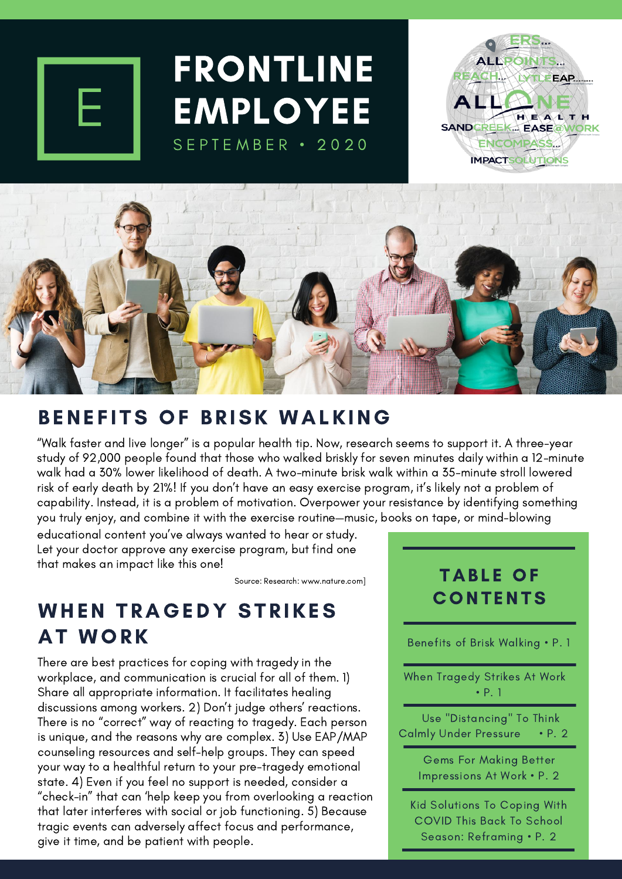

# FRONTLINE **EMPLOYEE** SEPTEMBER · 2020

**ALLPOINTS...** LYTLEEAP. **ALL** HEALTH SANDCREEK EASE@WORK ENCOMPASS... **IMPACT SOLUTIONS** 

ERS.



#### BENEFITS OF BRISK WALKING

"Walk faster and live longer" is a popular health tip. Now, research seems to support it. A three-year study of 92,000 people found that those who walked briskly for seven minutes daily within a 12-minute walk had a 30% lower likelihood of death. A two-minute brisk walk within a 35-minute stroll lowered risk of early death by 21%! If you don't have an easy exercise program, it's likely not a problem of capability. Instead, it is a problem of motivation. Overpower your resistance by identifying something you truly enjoy, and combine it with the exercise routine—music, books on tape, or mind-blowing

educational content you've always wanted to hear or study. Let your doctor approve any exercise program, but find one that makes an impact like this one!

Source: Research: www.nature.com]

### WHEN TRAGEDY STRIKES AT WORK

There are best practices for coping with tragedy in the workplace, and communication is crucial for all of them. 1) Share all appropriate information. It facilitates healing discussions among workers. 2) Don't judge others' reactions. There is no "correct" way of reacting to tragedy. Each person is unique, and the reasons why are complex. 3) Use EAP/MAP counseling resources and self-help groups. They can speed your way to a healthful return to your pre-tragedy emotional state. 4) Even if you feel no support is needed, consider a "check-in" that can 'help keep you from overlooking a reaction that later interferes with social or job functioning. 5) Because tragic events can adversely affect focus and performance, give it time, and be patient with people.

#### **TABLE OF CONTENTS**

Benefits of Brisk Walking • P. 1

When Tragedy Strikes At Work • P. 1

Use "Distancing" To Think Calmly Under Pressure • P. 2

> Gems For Making Better Impressions At Work • P. 2

Kid Solutions To Coping With COVID This Back To School Season: Reframing • P. 2